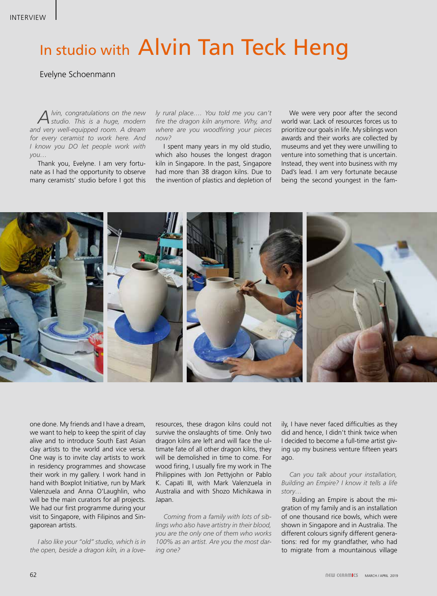## In studio with Alvin Tan Teck Heng

Evelyne Schoenmann

*Alvin, congratulations on the new studio. This is a huge, modern and very well-equipped room. A dream for every ceramist to work here. And I know you DO let people work with you…*

Thank you, Evelyne. I am very fortunate as I had the opportunity to observe many ceramists' studio before I got this *ly rural place…. You told me you can't fire the dragon kiln anymore. Why, and where are you woodfiring your pieces now?*

I spent many years in my old studio, which also houses the longest dragon kiln in Singapore. In the past, Singapore had more than 38 dragon kilns. Due to the invention of plastics and depletion of

We were very poor after the second world war. Lack of resources forces us to prioritize our goals in life. My siblings won awards and their works are collected by museums and yet they were unwilling to venture into something that is uncertain. Instead, they went into business with my Dad's lead. I am very fortunate because being the second youngest in the fam-



one done. My friends and I have a dream, we want to help to keep the spirit of clay alive and to introduce South East Asian clay artists to the world and vice versa. One way is to invite clay artists to work in residency programmes and showcase their work in my gallery. I work hand in hand with Boxplot Initiative, run by Mark Valenzuela and Anna O'Laughlin, who will be the main curators for all projects. We had our first programme during your visit to Singapore, with Filipinos and Singaporean artists.

*I also like your "old" studio, which is in the open, beside a dragon kiln, in a love-*

resources, these dragon kilns could not survive the onslaughts of time. Only two dragon kilns are left and will face the ultimate fate of all other dragon kilns, they will be demolished in time to come. For wood firing, I usually fire my work in The Philippines with Jon Pettyjohn or Pablo K. Capati III, with Mark Valenzuela in Australia and with Shozo Michikawa in Japan.

*Coming from a family with lots of siblings who also have artistry in their blood, you are the only one of them who works 100% as an artist. Are you the most daring one?*

ily, I have never faced difficulties as they did and hence, I didn't think twice when I decided to become a full-time artist giving up my business venture fifteen years ago.

*Can you talk about your installation, Building an Empire? I know it tells a life story…*

 Building an Empire is about the migration of my family and is an installation of one thousand rice bowls, which were shown in Singapore and in Australia. The different colours signify different generations: red for my grandfather, who had to migrate from a mountainous village